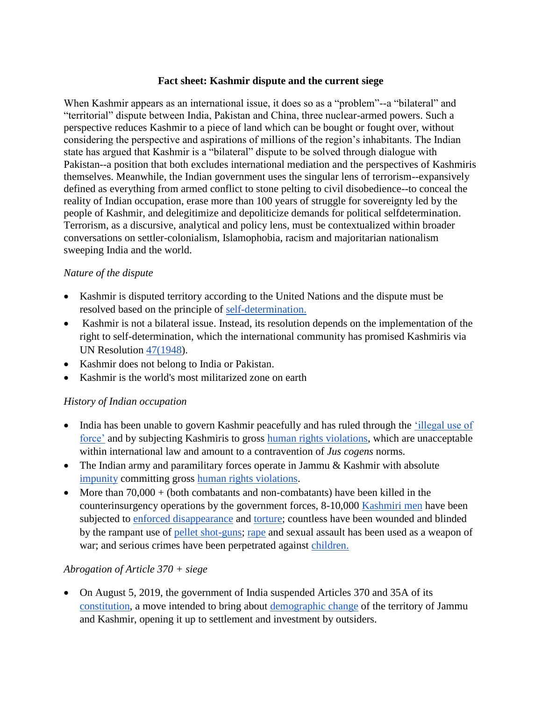#### **Fact sheet: Kashmir dispute and the current siege**

When Kashmir appears as an international issue, it does so as a "problem"--a "bilateral" and "territorial" dispute between India, Pakistan and China, three nuclear-armed powers. Such a perspective reduces Kashmir to a piece of land which can be bought or fought over, without considering the perspective and aspirations of millions of the region's inhabitants. The Indian state has argued that Kashmir is a "bilateral" dispute to be solved through dialogue with Pakistan--a position that both excludes international mediation and the perspectives of Kashmiris themselves. Meanwhile, the Indian government uses the singular lens of terrorism--expansively defined as everything from armed conflict to stone pelting to civil disobedience--to conceal the reality of Indian occupation, erase more than 100 years of struggle for sovereignty led by the people of Kashmir, and delegitimize and depoliticize demands for political selfdetermination. Terrorism, as a discursive, analytical and policy lens, must be contextualized within broader conversations on settler-colonialism, Islamophobia, racism and majoritarian nationalism sweeping India and the world.

## *Nature of the dispute*

- Kashmir is disputed territory according to the United Nations and the dispute must be resolved based on the principle of [self-determination.](https://unpo.org/article/4957)
- Kashmir is not a bilateral issue. Instead, its resolution depends on the implementation of the right to self-determination, which the international community has promised Kashmiris via UN Resolution [47\(1948\)](http://unscr.com/en/resolutions/47).
- Kashmir does not belong to India or Pakistan.
- Kashmir is the world's most militarized zone on earth

## *History of Indian occupation*

- India has been unable to govern Kashmir peacefully and has ruled through the 'illegal use of [force'](https://jkccs.files.wordpress.com/2017/05/structures-of-violence-e28093-main-report.pdf) and by subjecting Kashmiris to gross [human rights violations,](https://kashmirscholars.files.wordpress.com/2019/07/kashmirupdatereport_8july2019.pdf) which are unacceptable within international law and amount to a contravention of *Jus cogens* norms.
- Th[e](https://jkccs.files.wordpress.com/2017/05/alleged-perpetrators.pdf) Indian army and paramilitary forces operate in Jammu & Kashmir with absolute [impunity](https://jkccs.files.wordpress.com/2017/05/alleged-perpetrators.pdf) committing gross [human rights violations.](https://www.ohchr.org/EN/NewsEvents/Pages/DisplayNews.aspx?NewsID=23198%20)
- More than  $70,000 + (both\text{ combatants and non-combatants})$  have been killed in the counterinsurgency operations by the government forces, 8-10,000 [Kashmiri men](https://jkccs.files.wordpress.com/2017/05/half-widow-half-wife-apdp-report.pdf) have been subjected to [enforced disappearance](https://jkccs.files.wordpress.com/2017/05/facts-under-ground-first-report-on-mass-graves-in-kashmir.pdf) and [torture;](http://jkccs.net/wp-content/uploads/2019/05/TORTURE-Indian-State%E2%80%99s-Instrument-of-Control-in-Indian-administered-Jammu-and-Kashmir.pdf) countless have been wounded and blinded by the rampant use of [pellet shot-guns;](https://time.com/longform/pellet-gun-victims-kashmir/) [rape](http://feministlawarchives.pldindia.org/wp-content/uploads/iptks-report-on-rape-and-murder-in-shopian-kashmir.pdf?) and sexual assault has been used as a weapon of war; and serious crimes have been perpetrated against [children.](http://jkccs.net/wp-content/uploads/2018/03/2018-Impact-of-Violence-on-Children-of-JK-JKCCS.pdf)

## *Abrogation of Article 370 + siege*

 On August 5, 2019, the government of India suspended Articles 370 and 35A of it[s](https://www.apnews.com/634ae86e22774b6981a062e1487f5b0f) [constitution,](https://www.apnews.com/634ae86e22774b6981a062e1487f5b0f) a move intended to bring about [demographic change](https://www.bbc.com/news/world-asia-india-49234708) of the territory of Jammu and Kashmir, opening it up to settlement and investment by outsiders.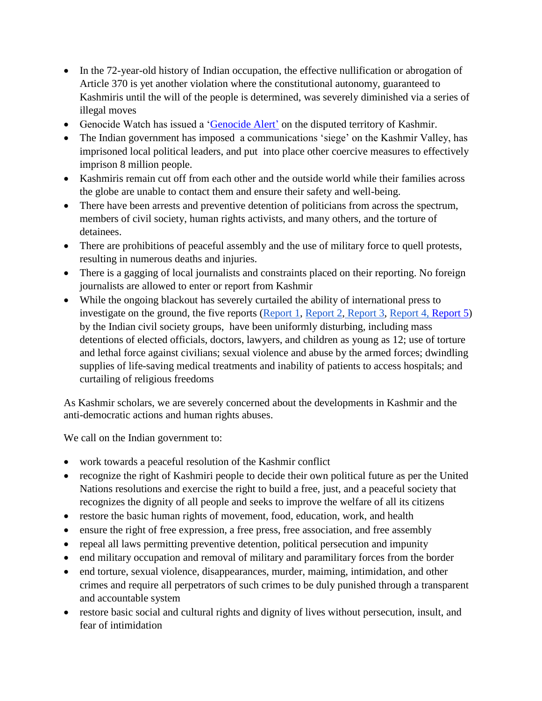- In the 72-year-old history of Indian occupation, the effective nullification or abrogation of Article 370 is yet another violation where the constitutional autonomy, guaranteed to Kashmiris until the will of the people is determined, was severely diminished via a series of illegal moves
- Genocide Watch has issued a ['Genocide Alert'](https://www.genocidewatch.com/copy-of-current-genocide-watch-aler) on the disputed territory of Kashmir.
- The Indian government has imposed a communications 'siege' on the Kashmir Valley, has imprisoned local political leaders, and put into place other coercive measures to effectively imprison 8 million people.
- Kashmiris remain cut off from each other and the outside world while their families across the globe are unable to contact them and ensure their safety and well-being.
- There have been arrests and preventive detention of politicians from across the spectrum, members of civil society, human rights activists, and many others, and the torture of detainees.
- There are prohibitions of peaceful assembly and the use of military force to quell protests, resulting in numerous deaths and injuries.
- There is a gagging of local journalists and constraints placed on their reporting. No foreign journalists are allowed to enter or report from Kashmir
- While the ongoing blackout has severely curtailed the ability of international press to investigate on the ground, the five reports [\(Report 1,](https://www.nchro.org/index.php/2019/08/14/kashmir-caged-a-fact-finding-report-by-jean-dreze-kavita-krishnan-maimoona-mollah-and-vimal-bhai/) [Report 2,](http://en.maktoobmedia.com/india/2019/09/24/full-text-womens-voice-fact-finding-report-on-kashmir/) [Report 3,](https://kashmirscholars.files.wordpress.com/2019/10/kashmir-civil-disobediance-a-citizens-report.pdf) [Report 4,](https://wssnet.org/2019/10/05/zulm-zakhm-azaadi-the-voices-of-kashmiri-women/) [Report 5](https://kashmirscholars.files.wordpress.com/2019/10/nitya-nandini-report-on-kashmir-public.pdf)[\)](http://en.maktoobmedia.com/india/2019/09/24/full-text-womens-voice-fact-finding-report-on-kashmir/) by the Indian civil society groups, have been uniformly disturbing, including mass detentions of elected officials, doctors, lawyers, and children as young as 12; use of torture and lethal force against civilians; sexual violence and abuse by the armed forces; dwindling supplies of life-saving medical treatments and inability of patients to access hospitals; and curtailing of religious freedoms

As Kashmir scholars, we are severely concerned about the developments in Kashmir and the anti-democratic actions and human rights abuses.

We call on the Indian government to:

- work towards a peaceful resolution of the Kashmir conflict
- recognize the right of Kashmiri people to decide their own political future as per the United Nations resolutions and exercise the right to build a free, just, and a peaceful society that recognizes the dignity of all people and seeks to improve the welfare of all its citizens
- restore the basic human rights of movement, food, education, work, and health
- ensure the right of free expression, a free press, free association, and free assembly
- repeal all laws permitting preventive detention, political persecution and impunity
- end military occupation and removal of military and paramilitary forces from the border
- end torture, sexual violence, disappearances, murder, maiming, intimidation, and other crimes and require all perpetrators of such crimes to be duly punished through a transparent and accountable system
- restore basic social and cultural rights and dignity of lives without persecution, insult, and fear of intimidation